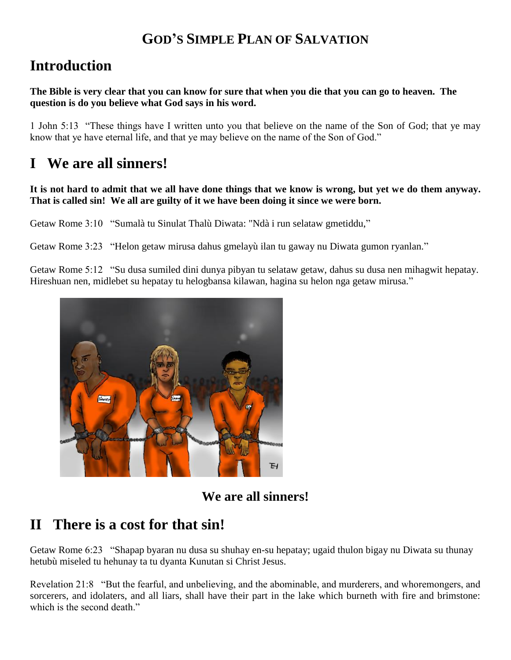#### **GOD'S SIMPLE PLAN OF SALVATION**

## **Introduction**

**The Bible is very clear that you can know for sure that when you die that you can go to heaven. The question is do you believe what God says in his word.**

1 John 5:13 "These things have I written unto you that believe on the name of the Son of God; that ye may know that ye have eternal life, and that ye may believe on the name of the Son of God."

### **I We are all sinners!**

#### **It is not hard to admit that we all have done things that we know is wrong, but yet we do them anyway. That is called sin! We all are guilty of it we have been doing it since we were born.**

Getaw Rome 3:10 "Sumalà tu Sinulat Thalù Diwata: "Ndà i run selataw gmetiddu,"

Getaw Rome 3:23 "Helon getaw mirusa dahus gmelayù ilan tu gaway nu Diwata gumon ryanlan."

Getaw Rome 5:12 "Su dusa sumiled dini dunya pibyan tu selataw getaw, dahus su dusa nen mihagwit hepatay. Hireshuan nen, midlebet su hepatay tu helogbansa kilawan, hagina su helon nga getaw mirusa."



**We are all sinners!**

### **II There is a cost for that sin!**

Getaw Rome 6:23 "Shapap byaran nu dusa su shuhay en-su hepatay; ugaid thulon bigay nu Diwata su thunay hetubù miseled tu hehunay ta tu dyanta Kunutan si Christ Jesus.

Revelation 21:8 "But the fearful, and unbelieving, and the abominable, and murderers, and whoremongers, and sorcerers, and idolaters, and all liars, shall have their part in the lake which burneth with fire and brimstone: which is the second death."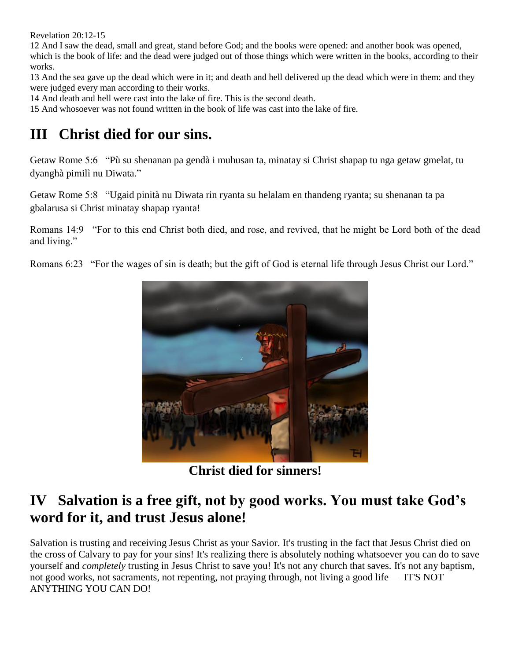Revelation 20:12-15

12 And I saw the dead, small and great, stand before God; and the books were opened: and another book was opened, which is the book of life: and the dead were judged out of those things which were written in the books, according to their works.

13 And the sea gave up the dead which were in it; and death and hell delivered up the dead which were in them: and they were judged every man according to their works.

14 And death and hell were cast into the lake of fire. This is the second death.

15 And whosoever was not found written in the book of life was cast into the lake of fire.

# **III Christ died for our sins.**

Getaw Rome 5:6 "Pù su shenanan pa gendà i muhusan ta, minatay si Christ shapap tu nga getaw gmelat, tu dyanghà pimilì nu Diwata."

Getaw Rome 5:8 "Ugaid pinità nu Diwata rin ryanta su helalam en thandeng ryanta; su shenanan ta pa gbalarusa si Christ minatay shapap ryanta!

Romans 14:9 "For to this end Christ both died, and rose, and revived, that he might be Lord both of the dead and living."

Romans 6:23 "For the wages of sin is death; but the [gift](http://amazinggracebibleinstitute.com/kjv/45_006.htm) of God is eternal life through Jesus Christ our Lord."



**Christ died for sinners!**

## **IV Salvation is a free gift, not by good works. You must take God's word for it, and trust Jesus alone!**

Salvation is trusting and receiving Jesus Christ as your Savior. It's trusting in the fact that Jesus Christ died on the cross of Calvary to pay for your sins! It's realizing there is absolutely nothing whatsoever you can do to save yourself and *completely* trusting in Jesus Christ to save you! It's not any church that saves. It's not any baptism, not good works, not sacraments, not repenting, not praying through, not living a good life — IT'S NOT ANYTHING YOU CAN DO!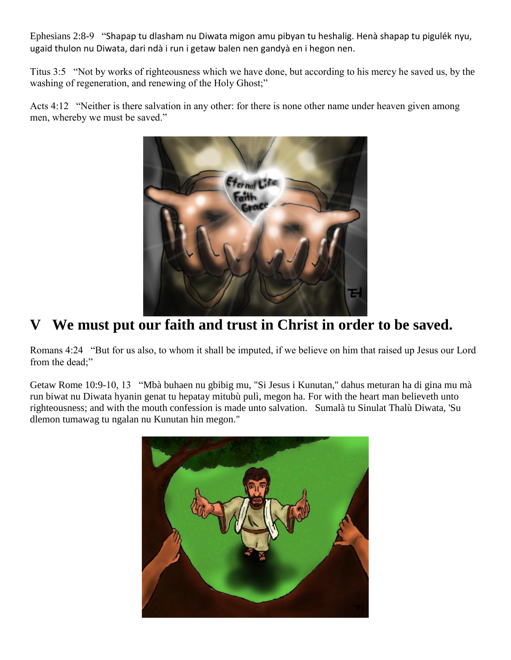Ephesians 2:8-9 "Shapap tu dlasham nu Diwata migon amu pibyan tu heshalig. Henà shapap tu pigulék nyu, ugaid thulon nu Diwata, dari ndà i run i getaw balen nen gandyà en i hegon nen.

Titus 3:5 "Not by works of righteousness which we have done, but according to his mercy he saved us, by the washing of regeneration, and renewing of the Holy Ghost;"

Acts 4:12 "Neither is there salvation in any other: for there is none other name under heaven given among men, whereby we must be saved."



# **V We must put our faith and trust in Christ in order to be saved.**

Romans 4:24 "But for us also, to whom it shall be imputed, if we believe on him that raised up Jesus our Lord from the dead;"

Getaw Rome 10:9-10, 13 "Mbà buhaen nu gbibig mu, "Si Jesus i Kunutan," dahus meturan ha di gina mu mà run biwat nu Diwata hyanin genat tu hepatay mitubù pulì, megon ha. For with the heart man believeth unto righteousness; and with the mouth confession is made unto salvation. Sumalà tu Sinulat Thalù Diwata, 'Su dlemon tumawag tu ngalan nu Kunutan hin megon."